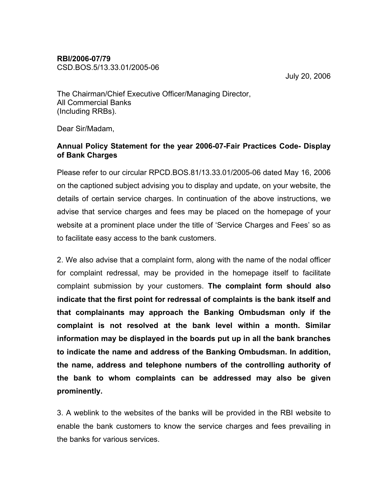## RBI/2006-07/79

CSD.BOS.5/13.33.01/2005-06

July 20, 2006

The Chairman/Chief Executive Officer/Managing Director, All Commercial Banks (Including RRBs).

Dear Sir/Madam,

## Annual Policy Statement for the year 2006-07-Fair Practices Code- Display of Bank Charges

Please refer to our circular RPCD.BOS.81/13.33.01/2005-06 dated May 16, 2006 on the captioned subject advising you to display and update, on your website, the details of certain service charges. In continuation of the above instructions, we advise that service charges and fees may be placed on the homepage of your website at a prominent place under the title of 'Service Charges and Fees' so as to facilitate easy access to the bank customers.

2. We also advise that a complaint form, along with the name of the nodal officer for complaint redressal, may be provided in the homepage itself to facilitate complaint submission by your customers. The complaint form should also indicate that the first point for redressal of complaints is the bank itself and that complainants may approach the Banking Ombudsman only if the complaint is not resolved at the bank level within a month. Similar information may be displayed in the boards put up in all the bank branches to indicate the name and address of the Banking Ombudsman. In addition, the name, address and telephone numbers of the controlling authority of the bank to whom complaints can be addressed may also be given prominently.

3. A weblink to the websites of the banks will be provided in the RBI website to enable the bank customers to know the service charges and fees prevailing in the banks for various services.